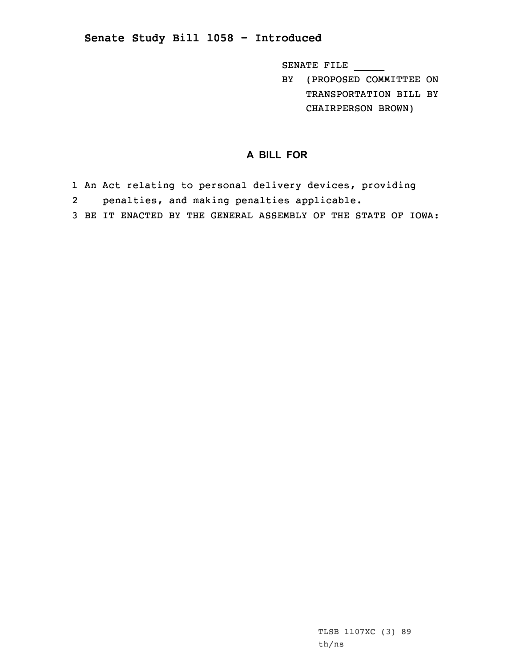## **Senate Study Bill 1058 - Introduced**

SENATE FILE \_\_\_\_\_

BY (PROPOSED COMMITTEE ON TRANSPORTATION BILL BY CHAIRPERSON BROWN)

## **A BILL FOR**

- 1 An Act relating to personal delivery devices, providing
- 2penalties, and making penalties applicable.
- 3 BE IT ENACTED BY THE GENERAL ASSEMBLY OF THE STATE OF IOWA: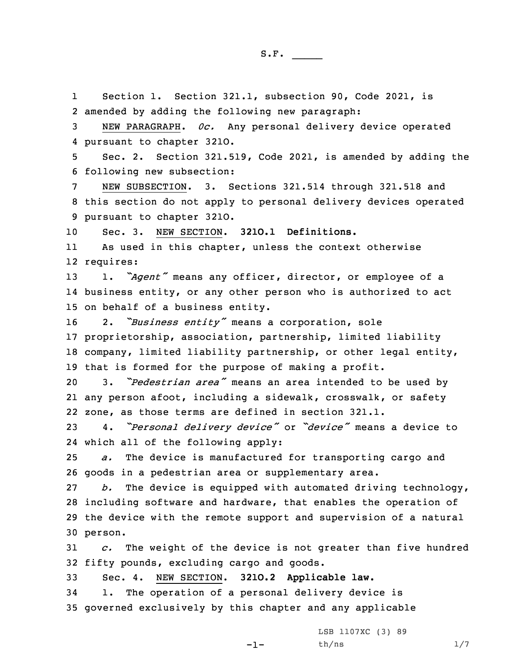1 Section 1. Section 321.1, subsection 90, Code 2021, is amended by adding the following new paragraph: NEW PARAGRAPH. *0c.* Any personal delivery device operated pursuant to chapter 321O. Sec. 2. Section 321.519, Code 2021, is amended by adding the following new subsection: NEW SUBSECTION. 3. Sections 321.514 through 321.518 and this section do not apply to personal delivery devices operated pursuant to chapter 321O. Sec. 3. NEW SECTION. **321O.1 Definitions.** 11 As used in this chapter, unless the context otherwise requires: 1. *"Agent"* means any officer, director, or employee of <sup>a</sup> business entity, or any other person who is authorized to act on behalf of <sup>a</sup> business entity. 2. *"Business entity"* means <sup>a</sup> corporation, sole proprietorship, association, partnership, limited liability company, limited liability partnership, or other legal entity, that is formed for the purpose of making <sup>a</sup> profit. 3. *"Pedestrian area"* means an area intended to be used by any person afoot, including <sup>a</sup> sidewalk, crosswalk, or safety zone, as those terms are defined in section 321.1. 4. *"Personal delivery device"* or *"device"* means <sup>a</sup> device to which all of the following apply: *a.* The device is manufactured for transporting cargo and goods in <sup>a</sup> pedestrian area or supplementary area. *b.* The device is equipped with automated driving technology, including software and hardware, that enables the operation of the device with the remote support and supervision of <sup>a</sup> natural 30 person. *c.* The weight of the device is not greater than five hundred fifty pounds, excluding cargo and goods. Sec. 4. NEW SECTION. **321O.2 Applicable law.** 1. The operation of <sup>a</sup> personal delivery device is governed exclusively by this chapter and any applicable

 $-1-$ 

LSB 1107XC (3) 89  $th/ns$   $1/7$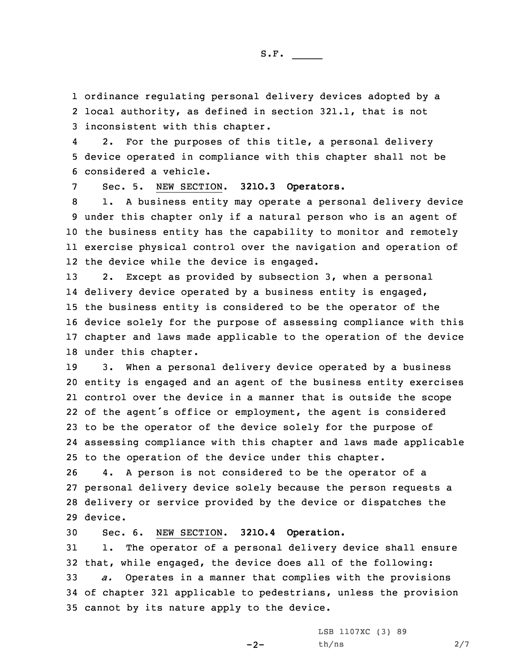1 ordinance regulating personal delivery devices adopted by <sup>a</sup>

2 local authority, as defined in section 321.1, that is not 3 inconsistent with this chapter.

4 2. For the purposes of this title, <sup>a</sup> personal delivery 5 device operated in compliance with this chapter shall not be 6 considered <sup>a</sup> vehicle.

7 Sec. 5. NEW SECTION. **321O.3 Operators.**

 1. <sup>A</sup> business entity may operate <sup>a</sup> personal delivery device under this chapter only if <sup>a</sup> natural person who is an agent of the business entity has the capability to monitor and remotely exercise physical control over the navigation and operation of the device while the device is engaged.

 2. Except as provided by subsection 3, when <sup>a</sup> personal delivery device operated by <sup>a</sup> business entity is engaged, the business entity is considered to be the operator of the device solely for the purpose of assessing compliance with this chapter and laws made applicable to the operation of the device under this chapter.

 3. When <sup>a</sup> personal delivery device operated by <sup>a</sup> business entity is engaged and an agent of the business entity exercises control over the device in <sup>a</sup> manner that is outside the scope of the agent's office or employment, the agent is considered to be the operator of the device solely for the purpose of assessing compliance with this chapter and laws made applicable to the operation of the device under this chapter.

 4. <sup>A</sup> person is not considered to be the operator of <sup>a</sup> personal delivery device solely because the person requests <sup>a</sup> delivery or service provided by the device or dispatches the 29 device.

30 Sec. 6. NEW SECTION. **321O.4 Operation.**

 1. The operator of <sup>a</sup> personal delivery device shall ensure that, while engaged, the device does all of the following: *a.* Operates in <sup>a</sup> manner that complies with the provisions of chapter 321 applicable to pedestrians, unless the provision cannot by its nature apply to the device.

 $-2-$ 

LSB 1107XC (3) 89 th/ns 2/7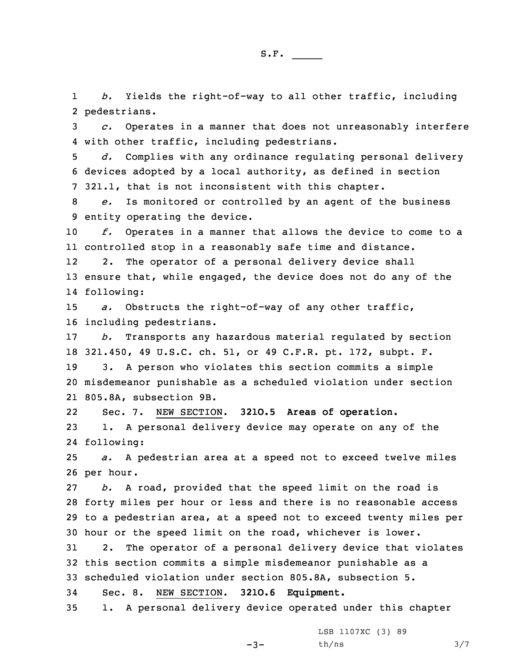1 *b.* Yields the right-of-way to all other traffic, including 2 pedestrians.

3 *c.* Operates in <sup>a</sup> manner that does not unreasonably interfere 4 with other traffic, including pedestrians.

5 *d.* Complies with any ordinance regulating personal delivery 6 devices adopted by <sup>a</sup> local authority, as defined in section 7 321.1, that is not inconsistent with this chapter.

8 *e.* Is monitored or controlled by an agent of the business 9 entity operating the device.

10 *f.* Operates in <sup>a</sup> manner that allows the device to come to <sup>a</sup> 11 controlled stop in <sup>a</sup> reasonably safe time and distance.

12 2. The operator of <sup>a</sup> personal delivery device shall 13 ensure that, while engaged, the device does not do any of the 14 following:

15 *a.* Obstructs the right-of-way of any other traffic, 16 including pedestrians.

17 *b.* Transports any hazardous material regulated by section 18 321.450, 49 U.S.C. ch. 51, or 49 C.F.R. pt. 172, subpt. F.

19 3. <sup>A</sup> person who violates this section commits <sup>a</sup> simple 20 misdemeanor punishable as <sup>a</sup> scheduled violation under section 21 805.8A, subsection 9B.

22 Sec. 7. NEW SECTION. **321O.5 Areas of operation.** 23 1. <sup>A</sup> personal delivery device may operate on any of the 24 following:

25 *a.* <sup>A</sup> pedestrian area at <sup>a</sup> speed not to exceed twelve miles 26 per hour.

 *b.* <sup>A</sup> road, provided that the speed limit on the road is forty miles per hour or less and there is no reasonable access to <sup>a</sup> pedestrian area, at <sup>a</sup> speed not to exceed twenty miles per hour or the speed limit on the road, whichever is lower.

 2. The operator of <sup>a</sup> personal delivery device that violates this section commits <sup>a</sup> simple misdemeanor punishable as <sup>a</sup> scheduled violation under section 805.8A, subsection 5. Sec. 8. NEW SECTION. **321O.6 Equipment.**

35 1. <sup>A</sup> personal delivery device operated under this chapter

LSB 1107XC (3) 89

-3-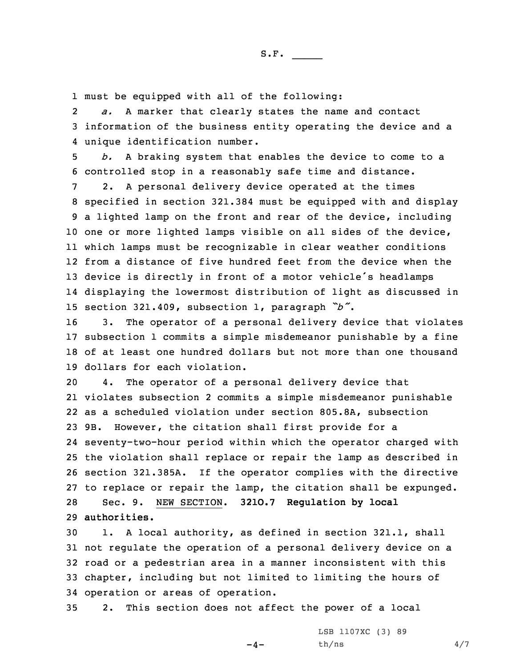1 must be equipped with all of the following:

2 *a.* <sup>A</sup> marker that clearly states the name and contact 3 information of the business entity operating the device and <sup>a</sup> 4 unique identification number.

5 *b.* <sup>A</sup> braking system that enables the device to come to <sup>a</sup> 6 controlled stop in <sup>a</sup> reasonably safe time and distance.

 2. <sup>A</sup> personal delivery device operated at the times specified in section 321.384 must be equipped with and display <sup>a</sup> lighted lamp on the front and rear of the device, including one or more lighted lamps visible on all sides of the device, which lamps must be recognizable in clear weather conditions from <sup>a</sup> distance of five hundred feet from the device when the device is directly in front of <sup>a</sup> motor vehicle's headlamps displaying the lowermost distribution of light as discussed in section 321.409, subsection 1, paragraph *"b"*.

 3. The operator of <sup>a</sup> personal delivery device that violates subsection 1 commits <sup>a</sup> simple misdemeanor punishable by <sup>a</sup> fine of at least one hundred dollars but not more than one thousand dollars for each violation.

 4. The operator of <sup>a</sup> personal delivery device that violates subsection 2 commits <sup>a</sup> simple misdemeanor punishable as <sup>a</sup> scheduled violation under section 805.8A, subsection 9B. However, the citation shall first provide for <sup>a</sup> seventy-two-hour period within which the operator charged with the violation shall replace or repair the lamp as described in section 321.385A. If the operator complies with the directive to replace or repair the lamp, the citation shall be expunged. Sec. 9. NEW SECTION. **321O.7 Regulation by local authorities.**

 1. <sup>A</sup> local authority, as defined in section 321.1, shall not regulate the operation of <sup>a</sup> personal delivery device on <sup>a</sup> road or <sup>a</sup> pedestrian area in <sup>a</sup> manner inconsistent with this chapter, including but not limited to limiting the hours of operation or areas of operation.

35 2. This section does not affect the power of <sup>a</sup> local

 $-4-$ 

LSB 1107XC (3) 89  $th/ns$  4/7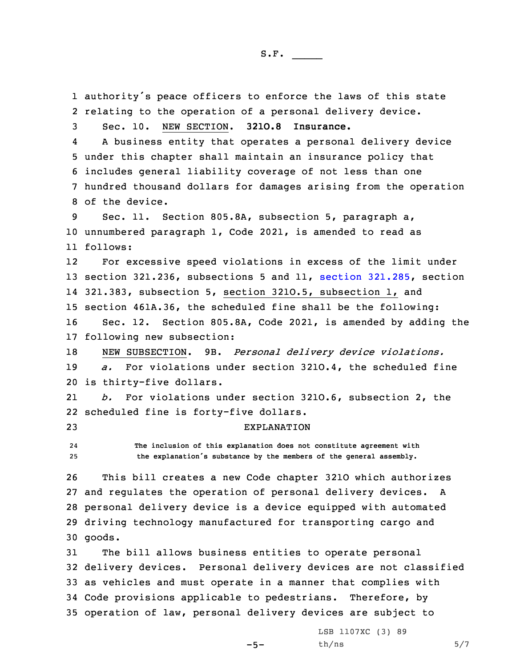authority's peace officers to enforce the laws of this state relating to the operation of <sup>a</sup> personal delivery device. Sec. 10. NEW SECTION. **321O.8 Insurance.** 4 <sup>A</sup> business entity that operates <sup>a</sup> personal delivery device under this chapter shall maintain an insurance policy that includes general liability coverage of not less than one hundred thousand dollars for damages arising from the operation of the device. Sec. 11. Section 805.8A, subsection 5, paragraph a, unnumbered paragraph 1, Code 2021, is amended to read as 11 follows: 12 For excessive speed violations in excess of the limit under section 321.236, subsections 5 and 11, section [321.285](https://www.legis.iowa.gov/docs/code/2021/321.285.pdf), section 321.383, subsection 5, section 321O.5, subsection 1, and section 461A.36, the scheduled fine shall be the following: Sec. 12. Section 805.8A, Code 2021, is amended by adding the following new subsection: NEW SUBSECTION. 9B. *Personal delivery device violations. a.* For violations under section 321O.4, the scheduled fine is thirty-five dollars. 21 *b.* For violations under section 321O.6, subsection 2, the scheduled fine is forty-five dollars. EXPLANATION 24 **The inclusion of this explanation does not constitute agreement with the explanation's substance by the members of the general assembly.** This bill creates <sup>a</sup> new Code chapter 321O which authorizes and regulates the operation of personal delivery devices. <sup>A</sup> personal delivery device is <sup>a</sup> device equipped with automated driving technology manufactured for transporting cargo and 30 goods. The bill allows business entities to operate personal delivery devices. Personal delivery devices are not classified as vehicles and must operate in <sup>a</sup> manner that complies with Code provisions applicable to pedestrians. Therefore, by operation of law, personal delivery devices are subject to

 $-5-$ 

LSB 1107XC (3) 89  $th/ns$  5/7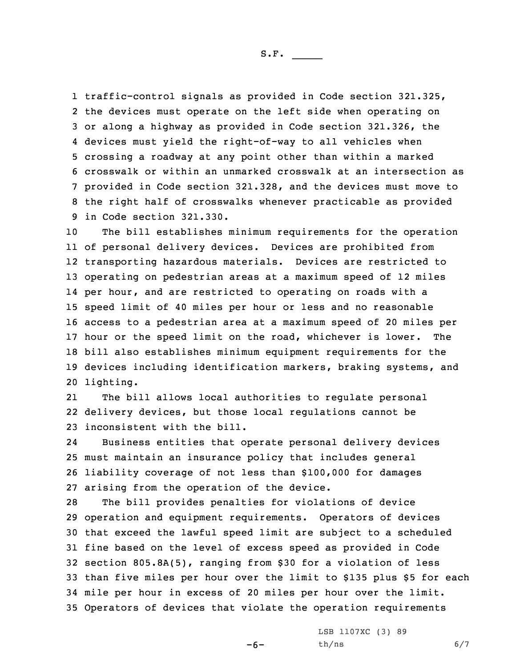S.F.  $\rule{1em}{0.15mm}$ 

 traffic-control signals as provided in Code section 321.325, the devices must operate on the left side when operating on or along <sup>a</sup> highway as provided in Code section 321.326, the devices must yield the right-of-way to all vehicles when crossing <sup>a</sup> roadway at any point other than within <sup>a</sup> marked crosswalk or within an unmarked crosswalk at an intersection as provided in Code section 321.328, and the devices must move to the right half of crosswalks whenever practicable as provided in Code section 321.330.

 The bill establishes minimum requirements for the operation of personal delivery devices. Devices are prohibited from transporting hazardous materials. Devices are restricted to operating on pedestrian areas at <sup>a</sup> maximum speed of 12 miles per hour, and are restricted to operating on roads with <sup>a</sup> speed limit of 40 miles per hour or less and no reasonable access to <sup>a</sup> pedestrian area at <sup>a</sup> maximum speed of 20 miles per hour or the speed limit on the road, whichever is lower. The bill also establishes minimum equipment requirements for the devices including identification markers, braking systems, and lighting.

21 The bill allows local authorities to regulate personal 22 delivery devices, but those local regulations cannot be 23 inconsistent with the bill.

24 Business entities that operate personal delivery devices 25 must maintain an insurance policy that includes general 26 liability coverage of not less than \$100,000 for damages 27 arising from the operation of the device.

 The bill provides penalties for violations of device operation and equipment requirements. Operators of devices that exceed the lawful speed limit are subject to <sup>a</sup> scheduled fine based on the level of excess speed as provided in Code section 805.8A(5), ranging from \$30 for <sup>a</sup> violation of less than five miles per hour over the limit to \$135 plus \$5 for each mile per hour in excess of 20 miles per hour over the limit. Operators of devices that violate the operation requirements

-6-

LSB 1107XC (3) 89  $th/ns$  6/7